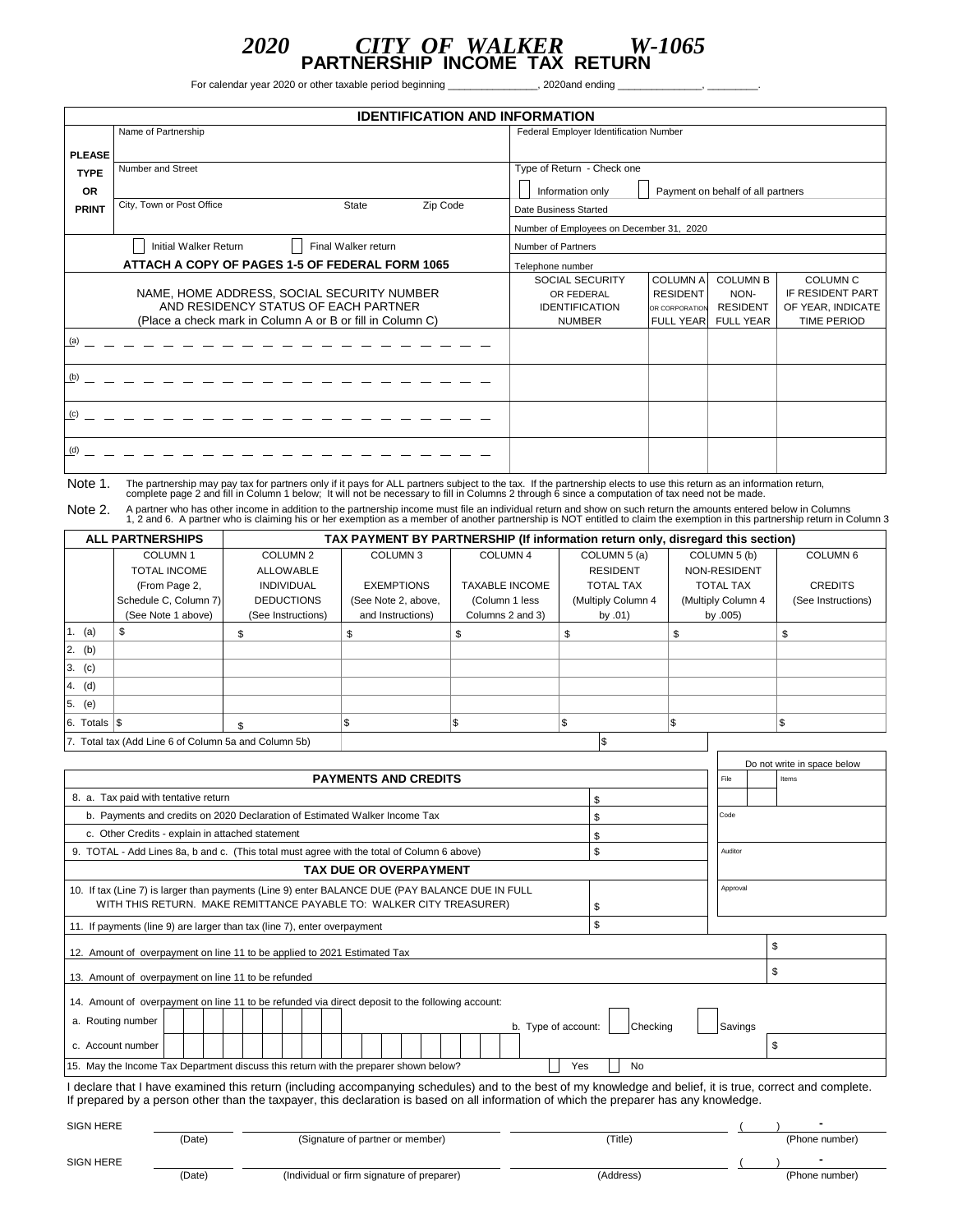## *2020 CITY OF WALKER W-1065* **PARTNERSHIP INCOME TAX RETURN**

For calendar year 2020 or other taxable period beginning \_\_\_\_\_\_\_\_\_\_\_\_\_\_\_\_, 2020and ending

|               | <b>IDENTIFICATION AND INFORMATION</b>                                                                                                           |                                                                                                                                                                                                                                                                                                                |  |  |  |  |  |  |  |
|---------------|-------------------------------------------------------------------------------------------------------------------------------------------------|----------------------------------------------------------------------------------------------------------------------------------------------------------------------------------------------------------------------------------------------------------------------------------------------------------------|--|--|--|--|--|--|--|
|               | Name of Partnership                                                                                                                             | Federal Employer Identification Number                                                                                                                                                                                                                                                                         |  |  |  |  |  |  |  |
| <b>PLEASE</b> |                                                                                                                                                 |                                                                                                                                                                                                                                                                                                                |  |  |  |  |  |  |  |
| <b>TYPE</b>   | Number and Street                                                                                                                               | Type of Return - Check one                                                                                                                                                                                                                                                                                     |  |  |  |  |  |  |  |
| <b>OR</b>     |                                                                                                                                                 | Payment on behalf of all partners<br>Information only                                                                                                                                                                                                                                                          |  |  |  |  |  |  |  |
| <b>PRINT</b>  | Zip Code<br>City, Town or Post Office<br><b>State</b>                                                                                           | Date Business Started                                                                                                                                                                                                                                                                                          |  |  |  |  |  |  |  |
|               |                                                                                                                                                 | Number of Employees on December 31, 2020                                                                                                                                                                                                                                                                       |  |  |  |  |  |  |  |
|               | Initial Walker Return<br>Final Walker return                                                                                                    | Number of Partners                                                                                                                                                                                                                                                                                             |  |  |  |  |  |  |  |
|               | ATTACH A COPY OF PAGES 1-5 OF FEDERAL FORM 1065                                                                                                 | Telephone number                                                                                                                                                                                                                                                                                               |  |  |  |  |  |  |  |
|               | NAME, HOME ADDRESS, SOCIAL SECURITY NUMBER<br>AND RESIDENCY STATUS OF EACH PARTNER<br>(Place a check mark in Column A or B or fill in Column C) | <b>COLUMN A</b><br><b>COLUMN B</b><br><b>COLUMN C</b><br><b>SOCIAL SECURITY</b><br>IF RESIDENT PART<br><b>RESIDENT</b><br>NON-<br>OR FEDERAL<br>OF YEAR, INDICATE<br><b>IDENTIFICATION</b><br><b>RESIDENT</b><br>OR CORPORATION<br><b>NUMBER</b><br><b>FULL YEAR</b><br><b>FULL YEAR</b><br><b>TIME PERIOD</b> |  |  |  |  |  |  |  |
| (a)           |                                                                                                                                                 |                                                                                                                                                                                                                                                                                                                |  |  |  |  |  |  |  |
| (b)           |                                                                                                                                                 |                                                                                                                                                                                                                                                                                                                |  |  |  |  |  |  |  |
| (c)           |                                                                                                                                                 |                                                                                                                                                                                                                                                                                                                |  |  |  |  |  |  |  |
| (d)           |                                                                                                                                                 |                                                                                                                                                                                                                                                                                                                |  |  |  |  |  |  |  |

Note 1. The partnership may pay tax for partners only if it pays for ALL partners subject to the tax. If the partnership elects to use this return as an information return, complete page 2 and fill in Column 1 below; It wi

Note 2. A partner who has other income in addition to the partnership income must file an individual return and show on such return the amounts entered below in Columns 1, 2 and 6. A partner who is claiming his or her exem

|                                                      | <b>ALL PARTNERSHIPS</b> |                    |                     | TAX PAYMENT BY PARTNERSHIP (If information return only, disregard this section) |                    |                    |                     |  |  |
|------------------------------------------------------|-------------------------|--------------------|---------------------|---------------------------------------------------------------------------------|--------------------|--------------------|---------------------|--|--|
| COLUMN <sub>1</sub>                                  |                         | COLUMN 2           | COLUMN <sub>3</sub> | COLUMN <sub>4</sub>                                                             | COLUMN 5 (a)       | COLUMN 5 (b)       | COLUMN <sub>6</sub> |  |  |
|                                                      | <b>TOTAL INCOME</b>     | <b>ALLOWABLE</b>   |                     |                                                                                 | <b>RESIDENT</b>    | NON-RESIDENT       |                     |  |  |
|                                                      | (From Page 2,           | <b>INDIVIDUAL</b>  | <b>EXEMPTIONS</b>   | <b>TAXABLE INCOME</b>                                                           | <b>TOTAL TAX</b>   | <b>TOTAL TAX</b>   | <b>CREDITS</b>      |  |  |
|                                                      | Schedule C, Column 7)   | <b>DEDUCTIONS</b>  | (See Note 2, above, | (Column 1 less                                                                  | (Multiply Column 4 | (Multiply Column 4 | (See Instructions)  |  |  |
|                                                      | (See Note 1 above)      | (See Instructions) | and Instructions)   | Columns 2 and 3)                                                                | by $.01)$          | by $.005$ )        |                     |  |  |
| 1. (a)                                               |                         |                    |                     |                                                                                 |                    | S                  | ъ                   |  |  |
| 2. (b)                                               |                         |                    |                     |                                                                                 |                    |                    |                     |  |  |
| (c)<br>3.                                            |                         |                    |                     |                                                                                 |                    |                    |                     |  |  |
| (d)<br>14.                                           |                         |                    |                     |                                                                                 |                    |                    |                     |  |  |
| (e)<br>5.                                            |                         |                    |                     |                                                                                 |                    |                    |                     |  |  |
| $6.$ Totals $\sqrt{\$}$                              |                         |                    |                     |                                                                                 |                    |                    |                     |  |  |
| 7. Total tax (Add Line 6 of Column 5a and Column 5b) |                         |                    |                     |                                                                                 |                    |                    |                     |  |  |

|                                                                                                                                                                                                                                                                                                       |          |         | Do not write in space below |  |  |  |
|-------------------------------------------------------------------------------------------------------------------------------------------------------------------------------------------------------------------------------------------------------------------------------------------------------|----------|---------|-----------------------------|--|--|--|
| <b>PAYMENTS AND CREDITS</b>                                                                                                                                                                                                                                                                           | File     |         | Items                       |  |  |  |
| 8. a. Tax paid with tentative return                                                                                                                                                                                                                                                                  |          |         |                             |  |  |  |
| b. Payments and credits on 2020 Declaration of Estimated Walker Income Tax                                                                                                                                                                                                                            | \$       | Code    |                             |  |  |  |
| c. Other Credits - explain in attached statement                                                                                                                                                                                                                                                      | \$       |         |                             |  |  |  |
| 9. TOTAL - Add Lines 8a, b and c. (This total must agree with the total of Column 6 above)                                                                                                                                                                                                            | \$       | Auditor |                             |  |  |  |
| <b>TAX DUE OR OVERPAYMENT</b>                                                                                                                                                                                                                                                                         |          |         |                             |  |  |  |
| 10. If tax (Line 7) is larger than payments (Line 9) enter BALANCE DUE (PAY BALANCE DUE IN FULL<br>WITH THIS RETURN. MAKE REMITTANCE PAYABLE TO: WALKER CITY TREASURER)                                                                                                                               | Approval |         |                             |  |  |  |
| 11. If payments (line 9) are larger than tax (line 7), enter overpayment                                                                                                                                                                                                                              |          |         |                             |  |  |  |
| \$<br>12. Amount of overpayment on line 11 to be applied to 2021 Estimated Tax                                                                                                                                                                                                                        |          |         |                             |  |  |  |
| 13. Amount of overpayment on line 11 to be refunded                                                                                                                                                                                                                                                   |          | \$      |                             |  |  |  |
| 14. Amount of overpayment on line 11 to be refunded via direct deposit to the following account:<br>a. Routing number<br>Checking<br>b. Type of account:<br>Savings                                                                                                                                   |          |         |                             |  |  |  |
| \$<br>c. Account number                                                                                                                                                                                                                                                                               |          |         |                             |  |  |  |
| 15. May the Income Tax Department discuss this return with the preparer shown below?<br>No<br>Yes                                                                                                                                                                                                     |          |         |                             |  |  |  |
| I declare that I have examined this return (including accompanying schedules) and to the best of my knowledge and belief, it is true, correct and complete.<br>If prepared by a person other than the taxpayer, this declaration is based on all information of which the preparer has any knowledge. |          |         |                             |  |  |  |

SIGN HERE ( ) **-** (Date) (Signature of partner or member) (Title) (Title) (Phone number) SIGN HERE ( ) **-** (Date) (Individual or firm signature of preparer) (Address) (Address) (Phone number)